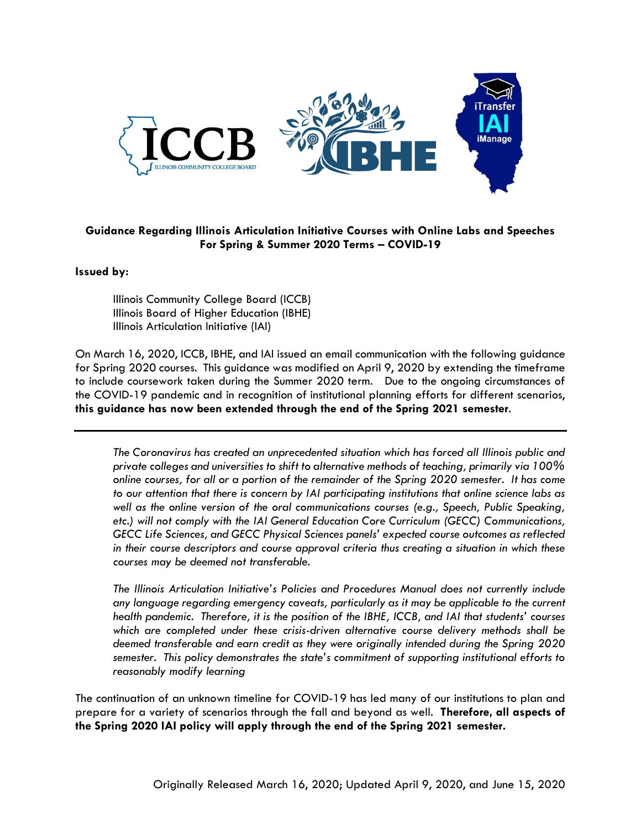

## **Guidance Regarding Illinois Articulation Initiative Courses with Online Labs and Speeches For Spring & Summer 2020 Terms – COVID-19**

**Issued by:**

Illinois Community College Board (ICCB) Illinois Board of Higher Education (IBHE) Illinois Articulation Initiative (IAI)

On March 16, 2020, ICCB, IBHE, and IAI issued an email communication with the following guidance for Spring 2020 courses. This guidance was modified on April 9, 2020 by extending the timeframe to include coursework taken during the Summer 2020 term. Due to the ongoing circumstances of the COVID-19 pandemic and in recognition of institutional planning efforts for different scenarios, **this guidance has now been extended through the end of the Spring 2021 semester**.

*The Coronavirus has created an unprecedented situation which has forced all Illinois public and private colleges and universities to shift to alternative methods of teaching, primarily via 100% online courses, for all or a portion of the remainder of the Spring 2020 semester. It has come to our attention that there is concern by IAI participating institutions that online science labs as well as the online version of the oral communications courses (e.g., Speech, Public Speaking, etc.) will not comply with the IAI General Education Core Curriculum (GECC) Communications, GECC Life Sciences, and GECC Physical Sciences panels' expected course outcomes as reflected in their course descriptors and course approval criteria thus creating a situation in which these courses may be deemed not transferable.* 

*The Illinois Articulation Initiative's Policies and Procedures Manual does not currently include any language regarding emergency caveats, particularly as it may be applicable to the current health pandemic. Therefore, it is the position of the IBHE, ICCB, and IAI that students' courses which are completed under these crisis-driven alternative course delivery methods shall be deemed transferable and earn credit as they were originally intended during the Spring 2020 semester. This policy demonstrates the state's commitment of supporting institutional efforts to reasonably modify learning*

The continuation of an unknown timeline for COVID-19 has led many of our institutions to plan and prepare for a variety of scenarios through the fall and beyond as well. **Therefore, all aspects of the Spring 2020 IAI policy will apply through the end of the Spring 2021 semester.**